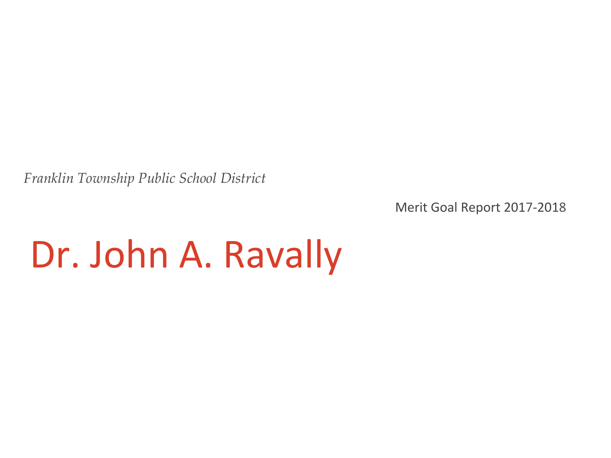*Franklin Township Public School District*

Merit Goal Report 2017-2018

## Dr. John A. Ravally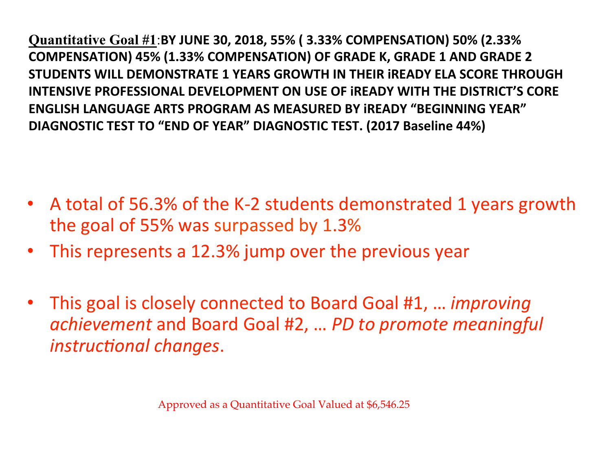**Quantitative Goal #1**:**BY JUNE 30, 2018, 55% ( 3.33% COMPENSATION) 50% (2.33% COMPENSATION) 45% (1.33% COMPENSATION) OF GRADE K, GRADE 1 AND GRADE 2 STUDENTS WILL DEMONSTRATE 1 YEARS GROWTH IN THEIR IREADY ELA SCORE THROUGH INTENSIVE PROFESSIONAL DEVELOPMENT ON USE OF IREADY WITH THE DISTRICT'S CORE ENGLISH LANGUAGE ARTS PROGRAM AS MEASURED BY iREADY "BEGINNING YEAR"**  DIAGNOSTIC TEST TO "END OF YEAR" DIAGNOSTIC TEST. (2017 Baseline 44%)

- A total of 56.3% of the K-2 students demonstrated 1 years growth the goal of 55% was surpassed by 1.3%
- This represents a 12.3% jump over the previous year
- This goal is closely connected to Board Goal #1, ... *improving* achievement and Board Goal #2, ... PD to promote meaningful instructional changes.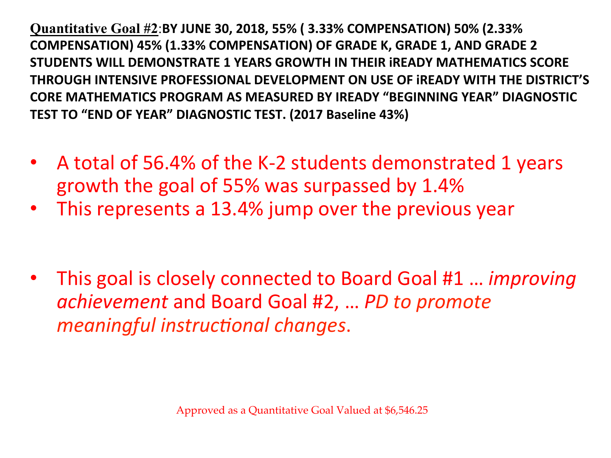**Quantitative Goal #2**:**BY JUNE 30, 2018, 55% ( 3.33% COMPENSATION) 50% (2.33% COMPENSATION) 45% (1.33% COMPENSATION) OF GRADE K, GRADE 1, AND GRADE 2 STUDENTS WILL DEMONSTRATE 1 YEARS GROWTH IN THEIR IREADY MATHEMATICS SCORE** THROUGH INTENSIVE PROFESSIONAL DEVELOPMENT ON USE OF IREADY WITH THE DISTRICT'S **CORE MATHEMATICS PROGRAM AS MEASURED BY IREADY "BEGINNING YEAR" DIAGNOSTIC TEST TO "END OF YEAR" DIAGNOSTIC TEST. (2017 Baseline 43%)** 

- A total of 56.4% of the K-2 students demonstrated 1 years growth the goal of 55% was surpassed by 1.4%
- This represents a 13.4% jump over the previous year
- This goal is closely connected to Board Goal #1 ... *improving achievement* and Board Goal #2, ... *PD to promote meaningful instructional changes.*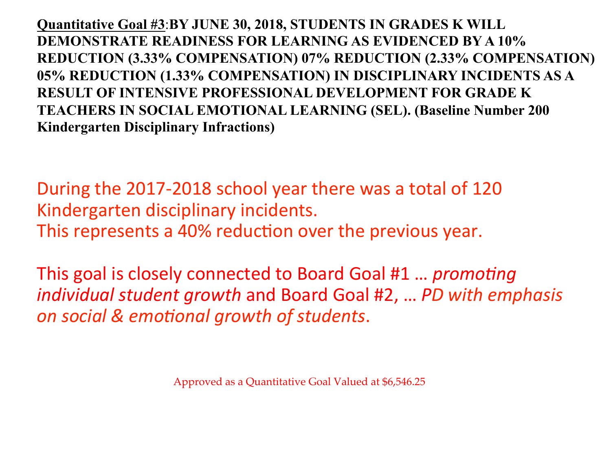**Quantitative Goal #3**:**BY JUNE 30, 2018, STUDENTS IN GRADES K WILL DEMONSTRATE READINESS FOR LEARNING AS EVIDENCED BY A 10% REDUCTION (3.33% COMPENSATION) 07% REDUCTION (2.33% COMPENSATION) 05% REDUCTION (1.33% COMPENSATION) IN DISCIPLINARY INCIDENTS AS A RESULT OF INTENSIVE PROFESSIONAL DEVELOPMENT FOR GRADE K TEACHERS IN SOCIAL EMOTIONAL LEARNING (SEL). (Baseline Number 200 Kindergarten Disciplinary Infractions)**

During the 2017-2018 school year there was a total of 120 Kindergarten disciplinary incidents. This represents a 40% reduction over the previous year.

This goal is closely connected to Board Goal #1 ... *promoting individual student growth* and Board Goal #2, ... PD with emphasis *on social & emo5onal growth of students*. 

Approved as a Quantitative Goal Valued at \$6,546.25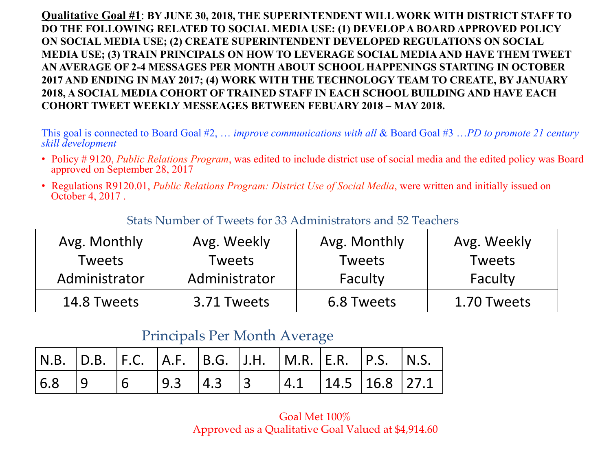**Qualitative Goal #1**: **BY JUNE 30, 2018, THE SUPERINTENDENT WILL WORK WITH DISTRICT STAFF TO DO THE FOLLOWING RELATED TO SOCIAL MEDIA USE: (1) DEVELOP A BOARD APPROVED POLICY ON SOCIAL MEDIA USE; (2) CREATE SUPERINTENDENT DEVELOPED REGULATIONS ON SOCIAL MEDIA USE; (3) TRAIN PRINCIPALS ON HOW TO LEVERAGE SOCIAL MEDIA AND HAVE THEM TWEET AN AVERAGE OF 2-4 MESSAGES PER MONTH ABOUT SCHOOL HAPPENINGS STARTING IN OCTOBER 2017 AND ENDING IN MAY 2017; (4) WORK WITH THE TECHNOLOGY TEAM TO CREATE, BY JANUARY 2018, A SOCIAL MEDIA COHORT OF TRAINED STAFF IN EACH SCHOOL BUILDING AND HAVE EACH COHORT TWEET WEEKLY MESSEAGES BETWEEN FEBUARY 2018 – MAY 2018.** 

This goal is connected to Board Goal #2, … *improve communications with all* & Board Goal #3 …*PD to promote 21 century skill development*

- Policy # 9120, *Public Relations Program*, was edited to include district use of social media and the edited policy was Board approved on September 28, 2017
- Regulations R9120.01, *Public Relations Program: District Use of Social Media*, were written and initially issued on October 4, 2017 .

| Avg. Monthly  | Avg. Weekly   | Avg. Monthly | Avg. Weekly   |
|---------------|---------------|--------------|---------------|
| Tweets        | Tweets        | Tweets       | <b>Tweets</b> |
| Administrator | Administrator | Faculty      | Faculty       |
| 14.8 Tweets   | 3.71 Tweets   | 6.8 Tweets   | 1.70 Tweets   |

#### Stats Number of Tweets for 33 Administrators and 52 Teachers

#### Principals Per Month Average

| $\vert$ N.B. $\vert$ D.B. $\vert$ F.C. $\vert$ A.F. $\vert$ B.G. $\vert$ J.H. $\vert$ M.R. $\vert$ E.R. $\vert$ P.S. $\vert$ N.S. |  |  |  |  |  |
|-----------------------------------------------------------------------------------------------------------------------------------|--|--|--|--|--|
|                                                                                                                                   |  |  |  |  |  |

#### Goal Met 100% Approved as a Qualitative Goal Valued at \$4,914.60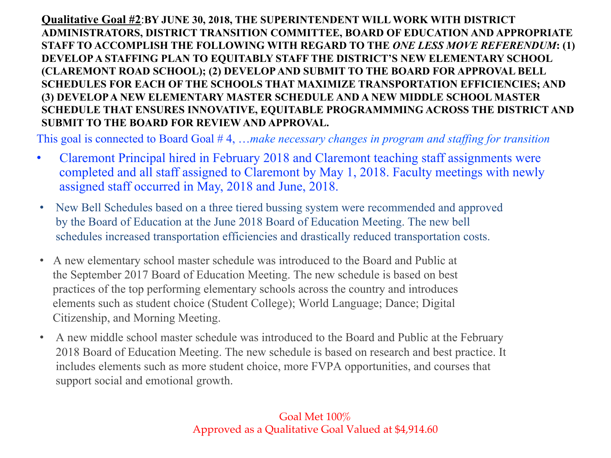**Qualitative Goal #2**:**BY JUNE 30, 2018, THE SUPERINTENDENT WILL WORK WITH DISTRICT ADMINISTRATORS, DISTRICT TRANSITION COMMITTEE, BOARD OF EDUCATION AND APPROPRIATE STAFF TO ACCOMPLISH THE FOLLOWING WITH REGARD TO THE** *ONE LESS MOVE REFERENDUM***: (1) DEVELOP A STAFFING PLAN TO EQUITABLY STAFF THE DISTRICT'S NEW ELEMENTARY SCHOOL (CLAREMONT ROAD SCHOOL); (2) DEVELOP AND SUBMIT TO THE BOARD FOR APPROVAL BELL SCHEDULES FOR EACH OF THE SCHOOLS THAT MAXIMIZE TRANSPORTATION EFFICIENCIES; AND (3) DEVELOP A NEW ELEMENTARY MASTER SCHEDULE AND A NEW MIDDLE SCHOOL MASTER SCHEDULE THAT ENSURES INNOVATIVE, EQUITABLE PROGRAMMMING ACROSS THE DISTRICT AND SUBMIT TO THE BOARD FOR REVIEW AND APPROVAL.** 

This goal is connected to Board Goal # 4, …*make necessary changes in program and staffing for transition* 

- Claremont Principal hired in February 2018 and Claremont teaching staff assignments were completed and all staff assigned to Claremont by May 1, 2018. Faculty meetings with newly assigned staff occurred in May, 2018 and June, 2018.
- New Bell Schedules based on a three tiered bussing system were recommended and approved by the Board of Education at the June 2018 Board of Education Meeting. The new bell schedules increased transportation efficiencies and drastically reduced transportation costs.
- A new elementary school master schedule was introduced to the Board and Public at the September 2017 Board of Education Meeting. The new schedule is based on best practices of the top performing elementary schools across the country and introduces elements such as student choice (Student College); World Language; Dance; Digital Citizenship, and Morning Meeting.
- A new middle school master schedule was introduced to the Board and Public at the February 2018 Board of Education Meeting. The new schedule is based on research and best practice. It includes elements such as more student choice, more FVPA opportunities, and courses that support social and emotional growth.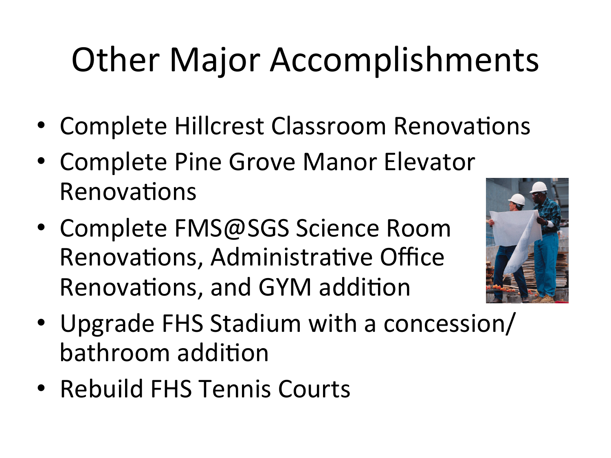# **Other Major Accomplishments**

- Complete Hillcrest Classroom Renovations
- Complete Pine Grove Manor Elevator Renovations
- Complete FMS@SGS Science Room Renovations, Administrative Office Renovations, and GYM addition



- Upgrade FHS Stadium with a concession/ bathroom addition
- Rebuild FHS Tennis Courts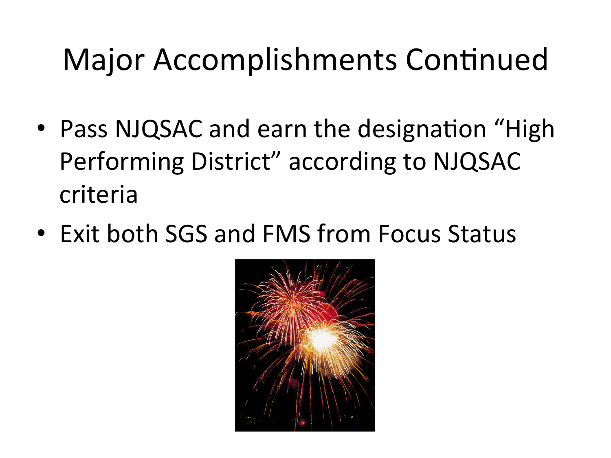#### Major Accomplishments Continued

- Pass NJQSAC and earn the designation "High Performing District" according to NJQSAC criteria
- Exit both SGS and FMS from Focus Status

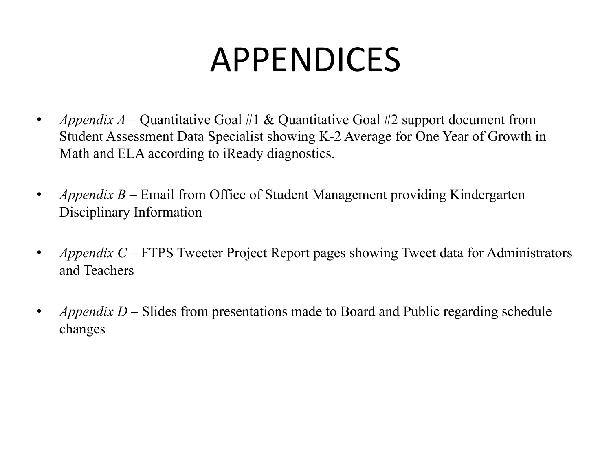## APPENDICES

- *Appendix A* Quantitative Goal #1 & Quantitative Goal #2 support document from Student Assessment Data Specialist showing K-2 Average for One Year of Growth in Math and ELA according to iReady diagnostics.
- *Appendix B* Email from Office of Student Management providing Kindergarten Disciplinary Information
- *Appendix C* FTPS Tweeter Project Report pages showing Tweet data for Administrators and Teachers
- *Appendix D* Slides from presentations made to Board and Public regarding schedule changes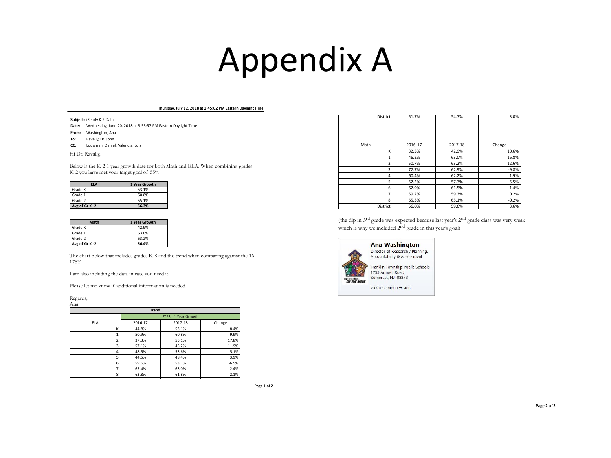#### Appendix A

#### Thursday, July 12, 2018 at 1:45:02 PM Eastern Daylight Time

**Subject:** iReady K-2 Data

**Date:** Wednesday, June 20, 2018 at 3:53:57 PM Eastern Daylight Time

From: Washington, Ana

- **To:** Ravally, Dr. John
- **CC:** Loughran, Daniel, Valencia, Luis

Hi Dr. Ravally,

Below is the K-2 1 year growth date for both Math and ELA. When combining grades K-2 you have met your target goal of 55%.

| <b>FLA</b>    | 1 Year Growth |
|---------------|---------------|
| Grade K       | 53.1%         |
| Grade 1       | 60.8%         |
| Grade 2       | 55.1%         |
| Avg of Gr K-2 | 56.3%         |

| <b>Math</b>   | 1 Year Growth |
|---------------|---------------|
| Grade K       | 42.9%         |
| Grade 1       | 63.0%         |
| Grade 2       | 63.2%         |
| Avg of Gr K-2 | 56.4%         |

The chart below that includes grades K-8 and the trend when comparing against the 16- 17SY.

I am also including the data in case you need it.

Please let me know if additional information is needed.

Regards,

| Ana            |         |                      |          |  |  |  |
|----------------|---------|----------------------|----------|--|--|--|
| <b>Trend</b>   |         |                      |          |  |  |  |
|                |         | FTPS - 1 Year Growth |          |  |  |  |
| <b>ELA</b>     | 2016-17 | 2017-18              | Change   |  |  |  |
| K              | 44.8%   | 53.1%                | 8.4%     |  |  |  |
| 1              | 50.9%   | 60.8%                | 9.9%     |  |  |  |
| $\overline{2}$ | 37.3%   | 55.1%                | 17.8%    |  |  |  |
| 3              | 57.1%   | 45.2%                | $-11.9%$ |  |  |  |
| 4              | 48.5%   | 53.6%                | 5.1%     |  |  |  |
| 5              | 44.5%   | 48.4%                | 3.9%     |  |  |  |
| 6              | 59.6%   | 53.1%                | $-6.5%$  |  |  |  |
| 7              | 65.4%   | 63.0%                | $-2.4%$  |  |  |  |
| 8              | 63.8%   | 61.8%                | $-2.1%$  |  |  |  |

Page 1 of 2

|             | District       | 51.7%   | 54.7%   | 3.0%    |
|-------------|----------------|---------|---------|---------|
|             |                |         |         |         |
|             |                |         |         |         |
|             |                |         |         |         |
| <b>Math</b> |                | 2016-17 | 2017-18 | Change  |
|             | K              | 32.3%   | 42.9%   | 10.6%   |
|             | 1              | 46.2%   | 63.0%   | 16.8%   |
|             | $\overline{2}$ | 50.7%   | 63.2%   | 12.6%   |
|             | 3              | 72.7%   | 62.9%   | $-9.8%$ |
|             | 4              | 60.4%   | 62.2%   | 1.9%    |
|             | 5              | 52.2%   | 57.7%   | 5.5%    |
|             | 6              | 62.9%   | 61.5%   | $-1.4%$ |
|             | 7              | 59.2%   | 59.3%   | 0.2%    |
|             | 8              | 65.3%   | 65.1%   | $-0.2%$ |
|             | District       | 56.0%   | 59.6%   | 3.6%    |

(the dip in 3rd grade was expected because last year's 2nd grade class was very weak which is why we included 2<sup>nd</sup> grade in this year's goal)



**Ana Washington** Director of Research / Planning, Accountability & Assessment

Franklin Township Public Schools 1755 Amwell Road Somerset, NJ 08873

732-873-2400 Ext. 406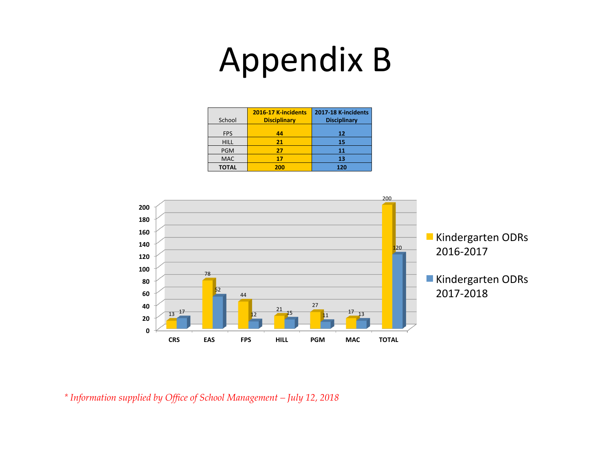## Appendix B

| School       | 2016-17 K-incidents<br><b>Disciplinary</b> | 2017-18 K-incidents<br><b>Disciplinary</b> |
|--------------|--------------------------------------------|--------------------------------------------|
| <b>FPS</b>   | 44                                         | 12                                         |
| <b>HILL</b>  | 21                                         | 15                                         |
| <b>PGM</b>   | 27                                         | 11                                         |
| <b>MAC</b>   | 17                                         | 13                                         |
| <b>TOTAL</b> | 200                                        | 120                                        |



*\* Information supplied by Office of School Management – July 12, 2018*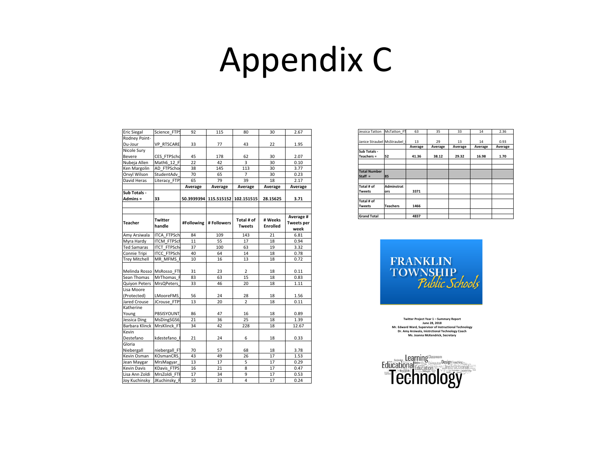#### Appendix C

| Eric Siegal                | Science_FTPS       | 92         | 115         | 80                          | 30                         | 2.67                                   |
|----------------------------|--------------------|------------|-------------|-----------------------------|----------------------------|----------------------------------------|
| Rodney Point-              |                    |            |             |                             |                            |                                        |
| Du-Jour                    | <b>VP RTSCARE</b>  | 33         | 77          | 43                          | 22                         | 1.95                                   |
| Nicole Sury                |                    |            |             |                             |                            |                                        |
| <b>Bevere</b>              | CES FTPSchd        | 45         | 178         | 62                          | 30                         | 2.07                                   |
| Nubeja Allen               | Math6 12 F         | 22         | 42          | $\overline{3}$              | 30                         | 0.10                                   |
| Ken Margolin               | AD FTPScho         | 38         | 145         | 113                         | 30                         | 3.77                                   |
| Orvyl Wilson               | StudentAdv         | 70         | 65          | 7                           | 30                         | 0.23                                   |
| David Heras                | Literacy_FTP:      | 65         | 79          | 39                          | 18                         | 2.17                                   |
|                            |                    | Average    | Average     | Average                     | Average                    | Average                                |
| Sub Totals -               |                    |            |             |                             |                            |                                        |
| Admins =                   | 33                 | 50.3939394 | 115.515152  | 102.151515                  | 28.15625                   | 3.71                                   |
|                            |                    |            |             |                             |                            |                                        |
|                            |                    |            |             |                             |                            |                                        |
| <b>Teacher</b>             | Twitter<br>handle  | #Following | # Followers | Total # of<br><b>Tweets</b> | # Weeks<br><b>Enrolled</b> | Average #<br><b>Tweets per</b><br>week |
| Amy Arsiwala               | <b>ITCA FTPSch</b> | 84         | 109         | 143                         | 21                         | 6.81                                   |
| Myra Hardy                 | <b>ITCM FTPSch</b> | 11         | 55          | 17                          | 18                         | 0.94                                   |
| <b>Ted Samaras</b>         | <b>ITCT_FTPSch</b> | 37         | 100         | 63                          | 19                         | 3.32                                   |
| Connie Tripi               | <b>ITCC FTPSch</b> | 40         | 64          | 14                          | 18                         | 0.78                                   |
| Trey Mitchell              | MR MFMS            | 10         | 16          | 13                          | 18                         | 0.72                                   |
| Melinda Rosso   MsRosso_FT |                    | 31         | 23          | 2                           | 18                         | 0.11                                   |
| Sean Thomas                | MrThomas F         | 83         | 63          | 15                          | 18                         | 0.83                                   |
| <b>Quiyon Peters</b>       | <b>MrsQPeters</b>  | 33         | 46          | 20                          | 18                         | 1.11                                   |
| Lisa Moore                 |                    |            |             |                             |                            |                                        |
| (Protected)                | <b>LMooreFMS</b>   | 56         | 24          | 28                          | 18                         | 1.56                                   |
| Jared Crouse               | JCrouse FTP:       | 13         | 20          | $\overline{2}$              | 18                         | 0.11                                   |
| Katherine                  |                    |            |             |                             |                            |                                        |
| Young                      | PBSISYOUNT         | 86         | 47          | 16                          | 18                         | 0.89                                   |
| Jessica Ding               | MsDingSGS6         | 21         | 36          | 25                          | 18                         | 1.39                                   |
| <b>Barbara Klinck</b>      | MrsKlinck F1       | 34         | 42          | 228                         | 18                         | 12.67                                  |
| Kevin                      |                    |            |             |                             |                            |                                        |
| Destefano                  | kdestefano         | 21         | 24          | 6                           | 18                         | 0.33                                   |
| Gloria                     |                    |            |             |                             |                            |                                        |
| Niebergall                 | niebergall_F1      | 70         | 57          | 68                          | 18                         | 3.78                                   |
| Kevin Osman                | <b>KOsmanCRS</b>   | 43         | 49          | 26                          | 17                         | 1.53                                   |
| Jean Maygar                | MrsMagyar          | 13         | 17          | $\overline{5}$              | 17                         | 0.29                                   |
| Kevin Davis                | <b>KDavis FTPS</b> | 16         | 21          | 8                           | 17                         | 0.47                                   |
| Lisa Ann Zoldi             | MrsZoldi FTI       | 17         | 34          | 9                           | 17                         | 0.53                                   |
| Joy Kuchinsky              | JKuchinsky_F       | 10         | 23          | $\overline{4}$              | 17                         | 0.24                                   |

| Jessica Tatton             | MsTatton FT       | 63      | 35      | 33      | 14      | 2.36    |
|----------------------------|-------------------|---------|---------|---------|---------|---------|
|                            |                   |         |         |         |         |         |
| Janice Straubel MsStraubel |                   | 13      | 29      | 13      | 14      | 0.93    |
|                            |                   | Average | Average | Average | Average | Average |
| Sub Totals -               |                   |         |         |         |         |         |
| Teachers =                 | 52                | 41.36   | 38.12   | 29.32   | 16.98   | 1.70    |
|                            |                   |         |         |         |         |         |
|                            |                   |         |         |         |         |         |
| <b>Total Number</b>        |                   |         |         |         |         |         |
| $Start =$                  | 85                |         |         |         |         |         |
|                            |                   |         |         |         |         |         |
| Total # of                 | <b>Adminstrat</b> |         |         |         |         |         |
| <b>Tweets</b>              | ors               | 3371    |         |         |         |         |
|                            |                   |         |         |         |         |         |
| Total # of                 |                   |         |         |         |         |         |
| <b>Tweets</b>              | <b>Teachers</b>   | 1466    |         |         |         |         |
|                            |                   |         |         |         |         |         |
| <b>Grand Total</b>         |                   | 4837    |         |         |         |         |



**Twitter Project Year 1 – Summary Report** June 28, 2018<br>Mr. Edward Ward, Supervisor of Instructional Technology **Dr.** Amy Arsiwala, Inistrctional Technology Coach **Ms. Joanna McKendrick, Secretary**